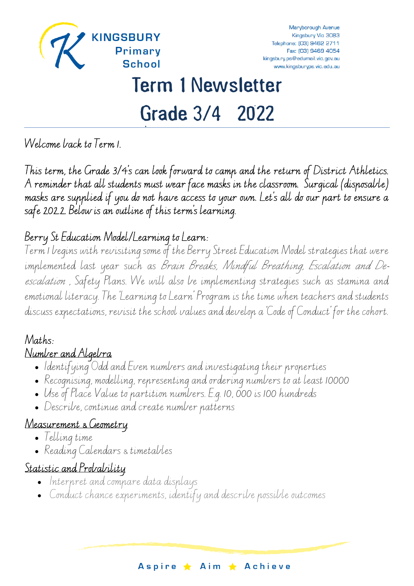

# Term 1 Newsletter

# Grade 3/4 2022

Welcome back to Term 1.

This term, the Grade 3/4's can look forward to camp and the return of District Athletics. A reminder that all students must wear face masks in the classroom. Surgical (disposable) masks are supplied if you do not have access to your own. Let's all do our part to ensure a safe 202.2. Below is an outline of this term's learning.

#### Berry St Education Model/Learning to Learn:

Term 1 begins with revisiting some of the Berry Street Education Model strategies that were implemented last year such as Brain Breaks, Mindful Breathing, Escalation and Deescalation , Safety Plans. We will also be implementing strategies such as stamina and emotional literacy. The 'Learning to Learn' Program is the time when teachers and students discuss expectations, revisit the school values and develop a 'Code of Conduct' for the cohort.

#### Maths: Number and Algebra

- Identifying Odd and Even numbers and investigating their properties
- Recognising, modelling, representing and ordering numbers to at least 10000
- Use of Place Value to partition numbers. E.g. 10, 000 is 100 hundreds
- Describe, continue and create number patterns

## Measurement & Geometry

- Telling time
- Reading Calendars & timetables

# Statistic and Probability

- Interpret and compare data displays
- Conduct chance experiments, identify and describe possible outcomes

Aspire ★ Aim ★ Achieve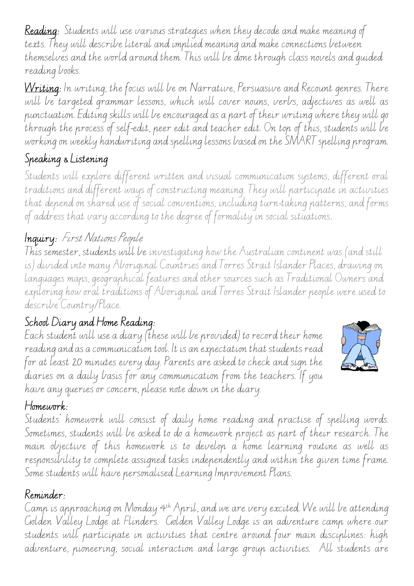Reading: Students will use various strategies when they decode and make meaning of texts. They will describe literal and implied meaning and make connections between themselves and the world around them. This will be done through class novels and guided reading books.

Writing: In writing, the focus will be on Narrative, Persuasive and Recount genres. There will be targeted grammar lessons, which will cover nouns, verbs, adjectives as well as punctuation. Editing skills will be encouraged as a part of their writing where they will go through the process of self-edit, peer edit and teacher edit. On top of this, students will be working on weekly handwriting and spelling lessons based on the SMART spelling program.

# Speaking & Listening

Students will explore different written and visual communication systems, different oral traditions and different ways of constructing meaning. They will participate in activities that depend on shared use of social conventions, including turn-taking patterns, and forms of address that vary according to the degree of formality in social situations.

# Inquiry: First Nations People

This semester, students will be investigating how the Australian continent was (and still is) divided into many Aboriginal Countries and Torres Strait Islander Places, drawing on languages maps, geographical features and other sources such as Traditional Owners and exploring how oral traditions of Aboriginal and Torres Strait Islander people were used to describe Country/Place.

## School Diary and Home Reading:

Each student will use a diary (these will be provided) to record their home reading and as a communication tool. It is an expectation that students read for at least 20 minutes every day. Parents are asked to check and sign the diaries on a daily basis for any communication from the teachers. If you have any queries or concern, please note down in the diary.



#### Homework:

Students' homework will consist of daily home reading and practise of spelling words. Sometimes, students will be asked to do a homework project as part of their research. The main objective of this homework is to develop a home learning routine as well as responsibility to complete assigned tasks independently and within the given time frame. Some students will have personalised Learning Improvement Plans.

#### Reminder:

Camp is approaching on Monday 4 th April, and we are very excited. We will be attending Golden Valley Lodge at Flinders. Golden Valley Lodge is an adventure camp where our students will participate in activities that centre around four main disciplines: high adventure, pioneering, social interaction and large group activities. All students are